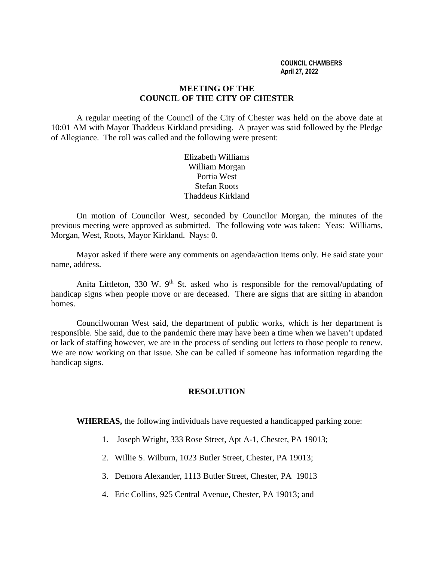#### **COUNCIL CHAMBERS April 27, 2022**

## **MEETING OF THE COUNCIL OF THE CITY OF CHESTER**

A regular meeting of the Council of the City of Chester was held on the above date at 10:01 AM with Mayor Thaddeus Kirkland presiding. A prayer was said followed by the Pledge of Allegiance. The roll was called and the following were present:

> Elizabeth Williams William Morgan Portia West Stefan Roots Thaddeus Kirkland

On motion of Councilor West, seconded by Councilor Morgan, the minutes of the previous meeting were approved as submitted. The following vote was taken: Yeas: Williams, Morgan, West, Roots, Mayor Kirkland. Nays: 0.

Mayor asked if there were any comments on agenda/action items only. He said state your name, address.

Anita Littleton, 330 W.  $9<sup>th</sup>$  St. asked who is responsible for the removal/updating of handicap signs when people move or are deceased. There are signs that are sitting in abandon homes.

Councilwoman West said, the department of public works, which is her department is responsible. She said, due to the pandemic there may have been a time when we haven't updated or lack of staffing however, we are in the process of sending out letters to those people to renew. We are now working on that issue. She can be called if someone has information regarding the handicap signs.

# **RESOLUTION**

**WHEREAS,** the following individuals have requested a handicapped parking zone:

- 1. Joseph Wright, 333 Rose Street, Apt A-1, Chester, PA 19013;
- 2. Willie S. Wilburn, 1023 Butler Street, Chester, PA 19013;
- 3. Demora Alexander, 1113 Butler Street, Chester, PA 19013
- 4. Eric Collins, 925 Central Avenue, Chester, PA 19013; and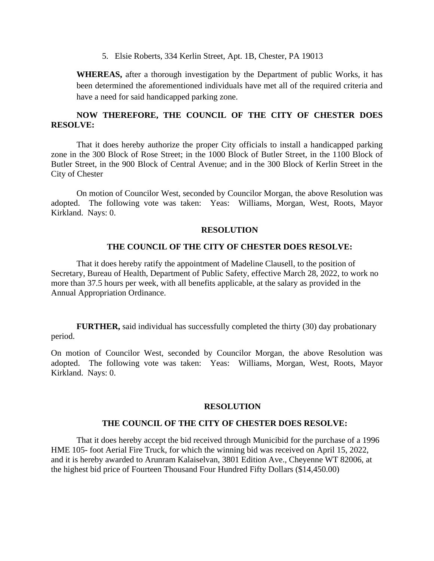5. Elsie Roberts, 334 Kerlin Street, Apt. 1B, Chester, PA 19013

**WHEREAS,** after a thorough investigation by the Department of public Works, it has been determined the aforementioned individuals have met all of the required criteria and have a need for said handicapped parking zone.

# **NOW THEREFORE, THE COUNCIL OF THE CITY OF CHESTER DOES RESOLVE:**

That it does hereby authorize the proper City officials to install a handicapped parking zone in the 300 Block of Rose Street; in the 1000 Block of Butler Street, in the 1100 Block of Butler Street, in the 900 Block of Central Avenue; and in the 300 Block of Kerlin Street in the City of Chester

On motion of Councilor West, seconded by Councilor Morgan, the above Resolution was adopted. The following vote was taken: Yeas: Williams, Morgan, West, Roots, Mayor Kirkland. Nays: 0.

# **RESOLUTION**

# **THE COUNCIL OF THE CITY OF CHESTER DOES RESOLVE:**

That it does hereby ratify the appointment of Madeline Clausell, to the position of Secretary, Bureau of Health, Department of Public Safety, effective March 28, 2022, to work no more than 37.5 hours per week, with all benefits applicable, at the salary as provided in the Annual Appropriation Ordinance.

**FURTHER,** said individual has successfully completed the thirty (30) day probationary period.

On motion of Councilor West, seconded by Councilor Morgan, the above Resolution was adopted. The following vote was taken: Yeas: Williams, Morgan, West, Roots, Mayor Kirkland. Nays: 0.

### **RESOLUTION**

# **THE COUNCIL OF THE CITY OF CHESTER DOES RESOLVE:**

That it does hereby accept the bid received through Municibid for the purchase of a 1996 HME 105- foot Aerial Fire Truck, for which the winning bid was received on April 15, 2022, and it is hereby awarded to Arunram Kalaiselvan, 3801 Edition Ave., Cheyenne WT 82006, at the highest bid price of Fourteen Thousand Four Hundred Fifty Dollars (\$14,450.00)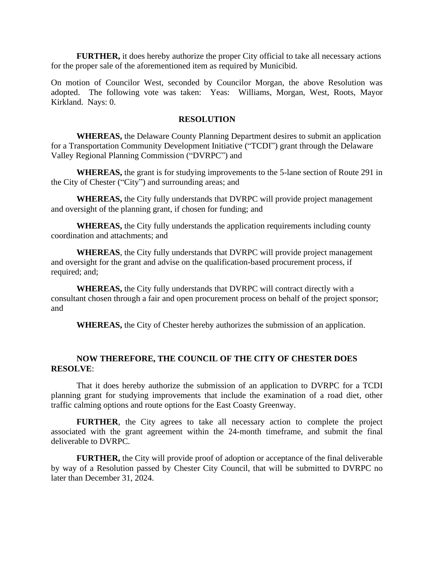**FURTHER,** it does hereby authorize the proper City official to take all necessary actions for the proper sale of the aforementioned item as required by Municibid.

On motion of Councilor West, seconded by Councilor Morgan, the above Resolution was adopted. The following vote was taken: Yeas: Williams, Morgan, West, Roots, Mayor Kirkland. Nays: 0.

#### **RESOLUTION**

**WHEREAS,** the Delaware County Planning Department desires to submit an application for a Transportation Community Development Initiative ("TCDI") grant through the Delaware Valley Regional Planning Commission ("DVRPC") and

**WHEREAS,** the grant is for studying improvements to the 5-lane section of Route 291 in the City of Chester ("City") and surrounding areas; and

**WHEREAS,** the City fully understands that DVRPC will provide project management and oversight of the planning grant, if chosen for funding; and

**WHEREAS,** the City fully understands the application requirements including county coordination and attachments; and

**WHEREAS**, the City fully understands that DVRPC will provide project management and oversight for the grant and advise on the qualification-based procurement process, if required; and;

**WHEREAS,** the City fully understands that DVRPC will contract directly with a consultant chosen through a fair and open procurement process on behalf of the project sponsor; and

**WHEREAS,** the City of Chester hereby authorizes the submission of an application.

# **NOW THEREFORE, THE COUNCIL OF THE CITY OF CHESTER DOES RESOLVE**:

That it does hereby authorize the submission of an application to DVRPC for a TCDI planning grant for studying improvements that include the examination of a road diet, other traffic calming options and route options for the East Coasty Greenway.

**FURTHER**, the City agrees to take all necessary action to complete the project associated with the grant agreement within the 24-month timeframe, and submit the final deliverable to DVRPC.

**FURTHER,** the City will provide proof of adoption or acceptance of the final deliverable by way of a Resolution passed by Chester City Council, that will be submitted to DVRPC no later than December 31, 2024.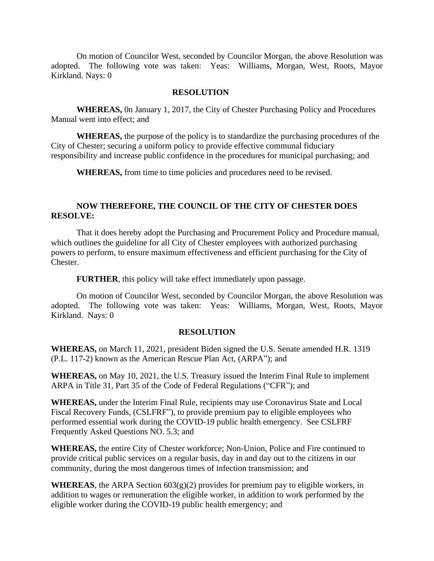On motion of Councilor West, seconded by Councilor Morgan, the above Resolution was adopted. The following vote was taken: Yeas: Williams, Morgan, West, Roots, Mayor Kirkland. Nays: 0

### **RESOLUTION**

**WHEREAS,** 0n January 1, 2017, the City of Chester Purchasing Policy and Procedures Manual went into effect; and

**WHEREAS,** the purpose of the policy is to standardize the purchasing procedures of the City of Chester; securing a uniform policy to provide effective communal fiduciary responsibility and increase public confidence in the procedures for municipal purchasing; and

**WHEREAS,** from time to time policies and procedures need to be revised.

# **NOW THEREFORE, THE COUNCIL OF THE CITY OF CHESTER DOES RESOLVE:**

That it does hereby adopt the Purchasing and Procurement Policy and Procedure manual, which outlines the guideline for all City of Chester employees with authorized purchasing powers to perform, to ensure maximum effectiveness and efficient purchasing for the City of Chester.

**FURTHER**, this policy will take effect immediately upon passage.

On motion of Councilor West, seconded by Councilor Morgan, the above Resolution was adopted. The following vote was taken: Yeas: Williams, Morgan, West, Roots, Mayor Kirkland. Nays: 0

### **RESOLUTION**

**WHEREAS,** on March 11, 2021, president Biden signed the U.S. Senate amended H.R. 1319 (P.L. 117-2) known as the American Rescue Plan Act, (ARPA"); and

**WHEREAS,** on May 10, 2021, the U.S. Treasury issued the Interim Final Rule to implement ARPA in Title 31, Part 35 of the Code of Federal Regulations ("CFR"); and

**WHEREAS,** under the Interim Final Rule, recipients may use Coronavirus State and Local Fiscal Recovery Funds, (CSLFRF"), to provide premium pay to eligible employees who performed essential work during the COVID-19 public health emergency. See CSLFRF Frequently Asked Questions NO. 5.3; and

**WHEREAS,** the entire City of Chester workforce; Non-Union, Police and Fire continued to provide critical public services on a regular basis, day in and day out to the citizens in our community, during the most dangerous times of infection transmission; and

**WHEREAS**, the ARPA Section 603(g)(2) provides for premium pay to eligible workers, in addition to wages or remuneration the eligible worker, in addition to work performed by the eligible worker during the COVID-19 public health emergency; and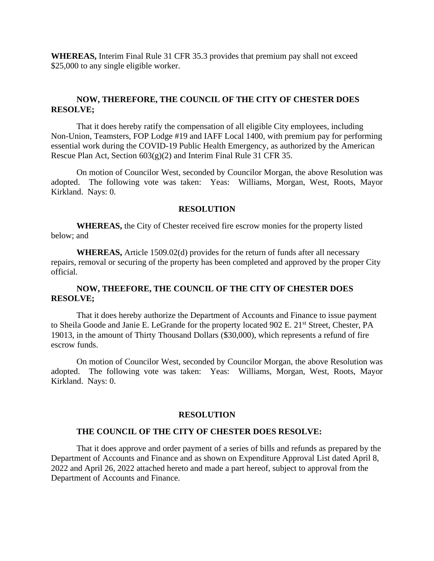**WHEREAS,** Interim Final Rule 31 CFR 35.3 provides that premium pay shall not exceed \$25,000 to any single eligible worker.

## **NOW, THEREFORE, THE COUNCIL OF THE CITY OF CHESTER DOES RESOLVE;**

That it does hereby ratify the compensation of all eligible City employees, including Non-Union, Teamsters, FOP Lodge #19 and IAFF Local 1400, with premium pay for performing essential work during the COVID-19 Public Health Emergency, as authorized by the American Rescue Plan Act, Section 603(g)(2) and Interim Final Rule 31 CFR 35.

On motion of Councilor West, seconded by Councilor Morgan, the above Resolution was adopted. The following vote was taken: Yeas: Williams, Morgan, West, Roots, Mayor Kirkland. Nays: 0.

#### **RESOLUTION**

**WHEREAS,** the City of Chester received fire escrow monies for the property listed below; and

**WHEREAS,** Article 1509.02(d) provides for the return of funds after all necessary repairs, removal or securing of the property has been completed and approved by the proper City official.

# **NOW, THEEFORE, THE COUNCIL OF THE CITY OF CHESTER DOES RESOLVE;**

That it does hereby authorize the Department of Accounts and Finance to issue payment to Sheila Goode and Janie E. LeGrande for the property located 902 E. 21<sup>st</sup> Street, Chester, PA 19013, in the amount of Thirty Thousand Dollars (\$30,000), which represents a refund of fire escrow funds.

On motion of Councilor West, seconded by Councilor Morgan, the above Resolution was adopted. The following vote was taken: Yeas: Williams, Morgan, West, Roots, Mayor Kirkland. Nays: 0.

### **RESOLUTION**

#### **THE COUNCIL OF THE CITY OF CHESTER DOES RESOLVE:**

That it does approve and order payment of a series of bills and refunds as prepared by the Department of Accounts and Finance and as shown on Expenditure Approval List dated April 8, 2022 and April 26, 2022 attached hereto and made a part hereof, subject to approval from the Department of Accounts and Finance.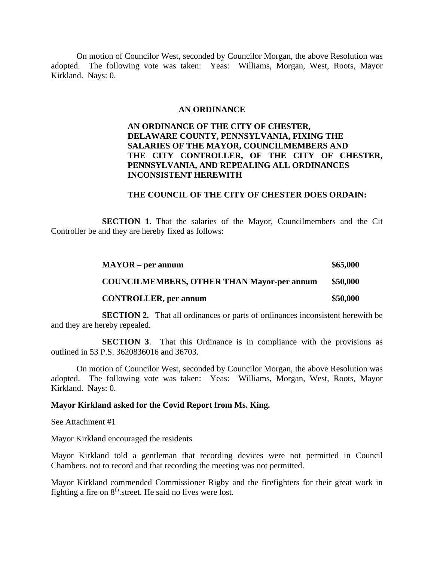On motion of Councilor West, seconded by Councilor Morgan, the above Resolution was adopted. The following vote was taken: Yeas: Williams, Morgan, West, Roots, Mayor Kirkland. Nays: 0.

### **AN ORDINANCE**

# **AN ORDINANCE OF THE CITY OF CHESTER, DELAWARE COUNTY, PENNSYLVANIA, FIXING THE SALARIES OF THE MAYOR, COUNCILMEMBERS AND THE CITY CONTROLLER, OF THE CITY OF CHESTER, PENNSYLVANIA, AND REPEALING ALL ORDINANCES INCONSISTENT HEREWITH**

### **THE COUNCIL OF THE CITY OF CHESTER DOES ORDAIN:**

**SECTION 1.** That the salaries of the Mayor, Councilmembers and the Cit Controller be and they are hereby fixed as follows:

| $MAYOR$ – per annum                               | \$65,000 |
|---------------------------------------------------|----------|
| <b>COUNCILMEMBERS, OTHER THAN Mayor-per annum</b> | \$50,000 |
| <b>CONTROLLER, per annum</b>                      | \$50,000 |

**SECTION 2.** That all ordinances or parts of ordinances inconsistent herewith be and they are hereby repealed.

**SECTION 3.** That this Ordinance is in compliance with the provisions as outlined in 53 P.S. 3620836016 and 36703.

On motion of Councilor West, seconded by Councilor Morgan, the above Resolution was adopted. The following vote was taken: Yeas: Williams, Morgan, West, Roots, Mayor Kirkland. Nays: 0.

### **Mayor Kirkland asked for the Covid Report from Ms. King.**

See Attachment #1

Mayor Kirkland encouraged the residents

Mayor Kirkland told a gentleman that recording devices were not permitted in Council Chambers. not to record and that recording the meeting was not permitted.

Mayor Kirkland commended Commissioner Rigby and the firefighters for their great work in fighting a fire on 8<sup>th</sup>.street. He said no lives were lost.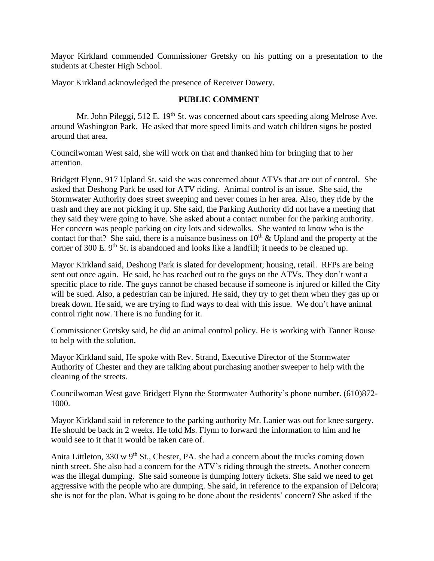Mayor Kirkland commended Commissioner Gretsky on his putting on a presentation to the students at Chester High School.

Mayor Kirkland acknowledged the presence of Receiver Dowery.

# **PUBLIC COMMENT**

Mr. John Pileggi,  $512$  E.  $19<sup>th</sup>$  St. was concerned about cars speeding along Melrose Ave. around Washington Park. He asked that more speed limits and watch children signs be posted around that area.

Councilwoman West said, she will work on that and thanked him for bringing that to her attention.

Bridgett Flynn, 917 Upland St. said she was concerned about ATVs that are out of control. She asked that Deshong Park be used for ATV riding. Animal control is an issue. She said, the Stormwater Authority does street sweeping and never comes in her area. Also, they ride by the trash and they are not picking it up. She said, the Parking Authority did not have a meeting that they said they were going to have. She asked about a contact number for the parking authority. Her concern was people parking on city lots and sidewalks. She wanted to know who is the contact for that? She said, there is a nuisance business on  $10<sup>th</sup>$  & Upland and the property at the corner of 300 E. 9<sup>th</sup> St. is abandoned and looks like a landfill; it needs to be cleaned up.

Mayor Kirkland said, Deshong Park is slated for development; housing, retail. RFPs are being sent out once again. He said, he has reached out to the guys on the ATVs. They don't want a specific place to ride. The guys cannot be chased because if someone is injured or killed the City will be sued. Also, a pedestrian can be injured. He said, they try to get them when they gas up or break down. He said, we are trying to find ways to deal with this issue. We don't have animal control right now. There is no funding for it.

Commissioner Gretsky said, he did an animal control policy. He is working with Tanner Rouse to help with the solution.

Mayor Kirkland said, He spoke with Rev. Strand, Executive Director of the Stormwater Authority of Chester and they are talking about purchasing another sweeper to help with the cleaning of the streets.

Councilwoman West gave Bridgett Flynn the Stormwater Authority's phone number. (610)872- 1000.

Mayor Kirkland said in reference to the parking authority Mr. Lanier was out for knee surgery. He should be back in 2 weeks. He told Ms. Flynn to forward the information to him and he would see to it that it would be taken care of.

Anita Littleton, 330 w  $9<sup>th</sup>$  St., Chester, PA. she had a concern about the trucks coming down ninth street. She also had a concern for the ATV's riding through the streets. Another concern was the illegal dumping. She said someone is dumping lottery tickets. She said we need to get aggressive with the people who are dumping. She said, in reference to the expansion of Delcora; she is not for the plan. What is going to be done about the residents' concern? She asked if the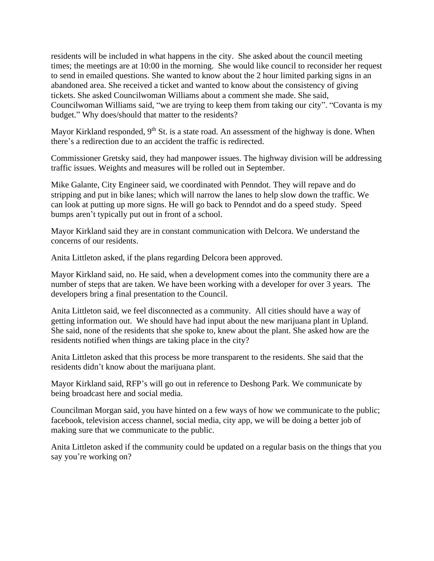residents will be included in what happens in the city. She asked about the council meeting times; the meetings are at 10:00 in the morning. She would like council to reconsider her request to send in emailed questions. She wanted to know about the 2 hour limited parking signs in an abandoned area. She received a ticket and wanted to know about the consistency of giving tickets. She asked Councilwoman Williams about a comment she made. She said, Councilwoman Williams said, "we are trying to keep them from taking our city". "Covanta is my budget." Why does/should that matter to the residents?

Mayor Kirkland responded, 9<sup>th</sup> St. is a state road. An assessment of the highway is done. When there's a redirection due to an accident the traffic is redirected.

Commissioner Gretsky said, they had manpower issues. The highway division will be addressing traffic issues. Weights and measures will be rolled out in September.

Mike Galante, City Engineer said, we coordinated with Penndot. They will repave and do stripping and put in bike lanes; which will narrow the lanes to help slow down the traffic. We can look at putting up more signs. He will go back to Penndot and do a speed study. Speed bumps aren't typically put out in front of a school.

Mayor Kirkland said they are in constant communication with Delcora. We understand the concerns of our residents.

Anita Littleton asked, if the plans regarding Delcora been approved.

Mayor Kirkland said, no. He said, when a development comes into the community there are a number of steps that are taken. We have been working with a developer for over 3 years. The developers bring a final presentation to the Council.

Anita Littleton said, we feel disconnected as a community. All cities should have a way of getting information out. We should have had input about the new marijuana plant in Upland. She said, none of the residents that she spoke to, knew about the plant. She asked how are the residents notified when things are taking place in the city?

Anita Littleton asked that this process be more transparent to the residents. She said that the residents didn't know about the marijuana plant.

Mayor Kirkland said, RFP's will go out in reference to Deshong Park. We communicate by being broadcast here and social media.

Councilman Morgan said, you have hinted on a few ways of how we communicate to the public; facebook, television access channel, social media, city app, we will be doing a better job of making sure that we communicate to the public.

Anita Littleton asked if the community could be updated on a regular basis on the things that you say you're working on?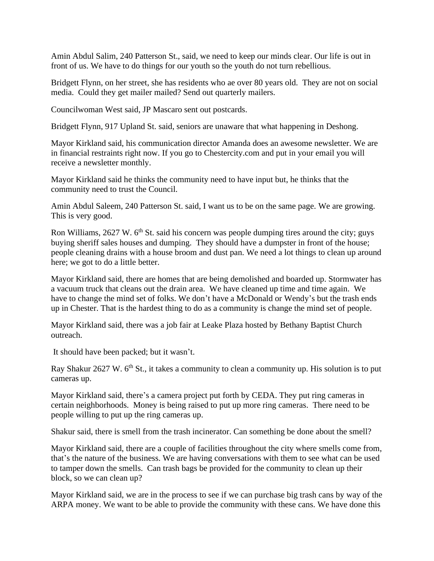Amin Abdul Salim, 240 Patterson St., said, we need to keep our minds clear. Our life is out in front of us. We have to do things for our youth so the youth do not turn rebellious.

Bridgett Flynn, on her street, she has residents who ae over 80 years old. They are not on social media. Could they get mailer mailed? Send out quarterly mailers.

Councilwoman West said, JP Mascaro sent out postcards.

Bridgett Flynn, 917 Upland St. said, seniors are unaware that what happening in Deshong.

Mayor Kirkland said, his communication director Amanda does an awesome newsletter. We are in financial restraints right now. If you go to Chestercity.com and put in your email you will receive a newsletter monthly.

Mayor Kirkland said he thinks the community need to have input but, he thinks that the community need to trust the Council.

Amin Abdul Saleem, 240 Patterson St. said, I want us to be on the same page. We are growing. This is very good.

Ron Williams,  $2627$  W.  $6<sup>th</sup>$  St. said his concern was people dumping tires around the city; guys buying sheriff sales houses and dumping. They should have a dumpster in front of the house; people cleaning drains with a house broom and dust pan. We need a lot things to clean up around here; we got to do a little better.

Mayor Kirkland said, there are homes that are being demolished and boarded up. Stormwater has a vacuum truck that cleans out the drain area. We have cleaned up time and time again. We have to change the mind set of folks. We don't have a McDonald or Wendy's but the trash ends up in Chester. That is the hardest thing to do as a community is change the mind set of people.

Mayor Kirkland said, there was a job fair at Leake Plaza hosted by Bethany Baptist Church outreach.

It should have been packed; but it wasn't.

Ray Shakur 2627 W.  $6<sup>th</sup>$  St., it takes a community to clean a community up. His solution is to put cameras up.

Mayor Kirkland said, there's a camera project put forth by CEDA. They put ring cameras in certain neighborhoods. Money is being raised to put up more ring cameras. There need to be people willing to put up the ring cameras up.

Shakur said, there is smell from the trash incinerator. Can something be done about the smell?

Mayor Kirkland said, there are a couple of facilities throughout the city where smells come from, that's the nature of the business. We are having conversations with them to see what can be used to tamper down the smells. Can trash bags be provided for the community to clean up their block, so we can clean up?

Mayor Kirkland said, we are in the process to see if we can purchase big trash cans by way of the ARPA money. We want to be able to provide the community with these cans. We have done this